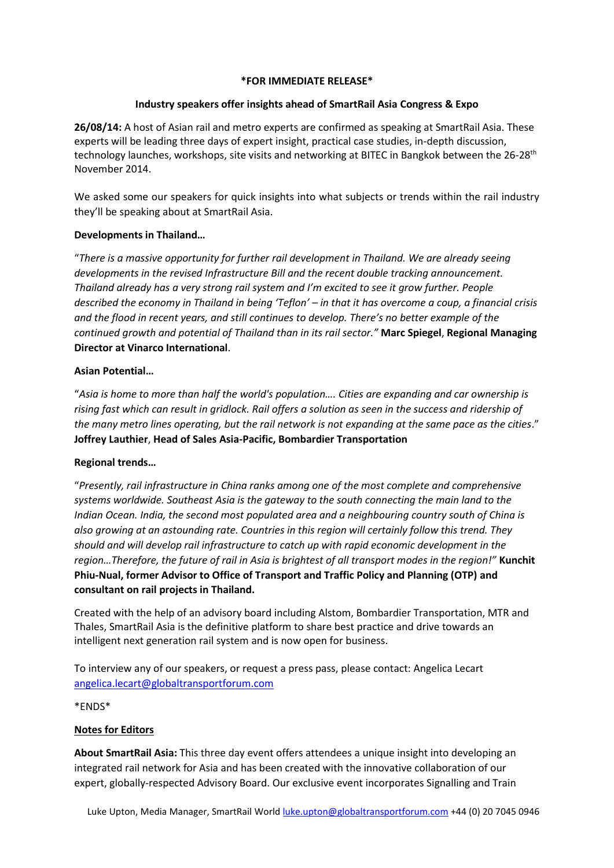## **\*FOR IMMEDIATE RELEASE\***

# **Industry speakers offer insights ahead of SmartRail Asia Congress & Expo**

**26/08/14:** A host of Asian rail and metro experts are confirmed as speaking at SmartRail Asia. These experts will be leading three days of expert insight, practical case studies, in-depth discussion, technology launches, workshops, site visits and networking at BITEC in Bangkok between the 26-28<sup>th</sup> November 2014.

We asked some our speakers for quick insights into what subjects or trends within the rail industry they'll be speaking about at SmartRail Asia.

# **Developments in Thailand…**

"*There is a massive opportunity for further rail development in Thailand. We are already seeing developments in the revised Infrastructure Bill and the recent double tracking announcement. Thailand already has a very strong rail system and I'm excited to see it grow further. People described the economy in Thailand in being 'Teflon' – in that it has overcome a coup, a financial crisis and the flood in recent years, and still continues to develop. There's no better example of the continued growth and potential of Thailand than in its rail sector."* **Marc Spiegel**, **Regional Managing Director at Vinarco International**.

# **Asian Potential…**

"*Asia is home to more than half the world's population…. Cities are expanding and car ownership is rising fast which can result in gridlock. Rail offers a solution as seen in the success and ridership of the many metro lines operating, but the rail network is not expanding at the same pace as the cities*." **Joffrey Lauthier**, **Head of Sales Asia-Pacific, Bombardier Transportation**

# **Regional trends…**

"*Presently, rail infrastructure in China ranks among one of the most complete and comprehensive systems worldwide. Southeast Asia is the gateway to the south connecting the main land to the Indian Ocean. India, the second most populated area and a neighbouring country south of China is also growing at an astounding rate. Countries in this region will certainly follow this trend. They should and will develop rail infrastructure to catch up with rapid economic development in the region…Therefore, the future of rail in Asia is brightest of all transport modes in the region!"* **Kunchit Phiu-Nual, former Advisor to Office of Transport and Traffic Policy and Planning (OTP) and consultant on rail projects in Thailand.**

Created with the help of an advisory board including Alstom, Bombardier Transportation, MTR and Thales, SmartRail Asia is the definitive platform to share best practice and drive towards an intelligent next generation rail system and is now open for business.

To interview any of our speakers, or request a press pass, please contact: Angelica Lecart [angelica.lecart@globaltransportforum.com](mailto:angelica.lecart@globaltransportforum.com)

\*ENDS\*

# **Notes for Editors**

**About SmartRail Asia:** This three day event offers attendees a unique insight into developing an integrated rail network for Asia and has been created with the innovative collaboration of our expert, globally-respected Advisory Board. Our exclusive event incorporates Signalling and Train

Luke Upton, Media Manager, SmartRail World *luke.upton@globaltransportforum.com* +44 (0) 20 7045 0946